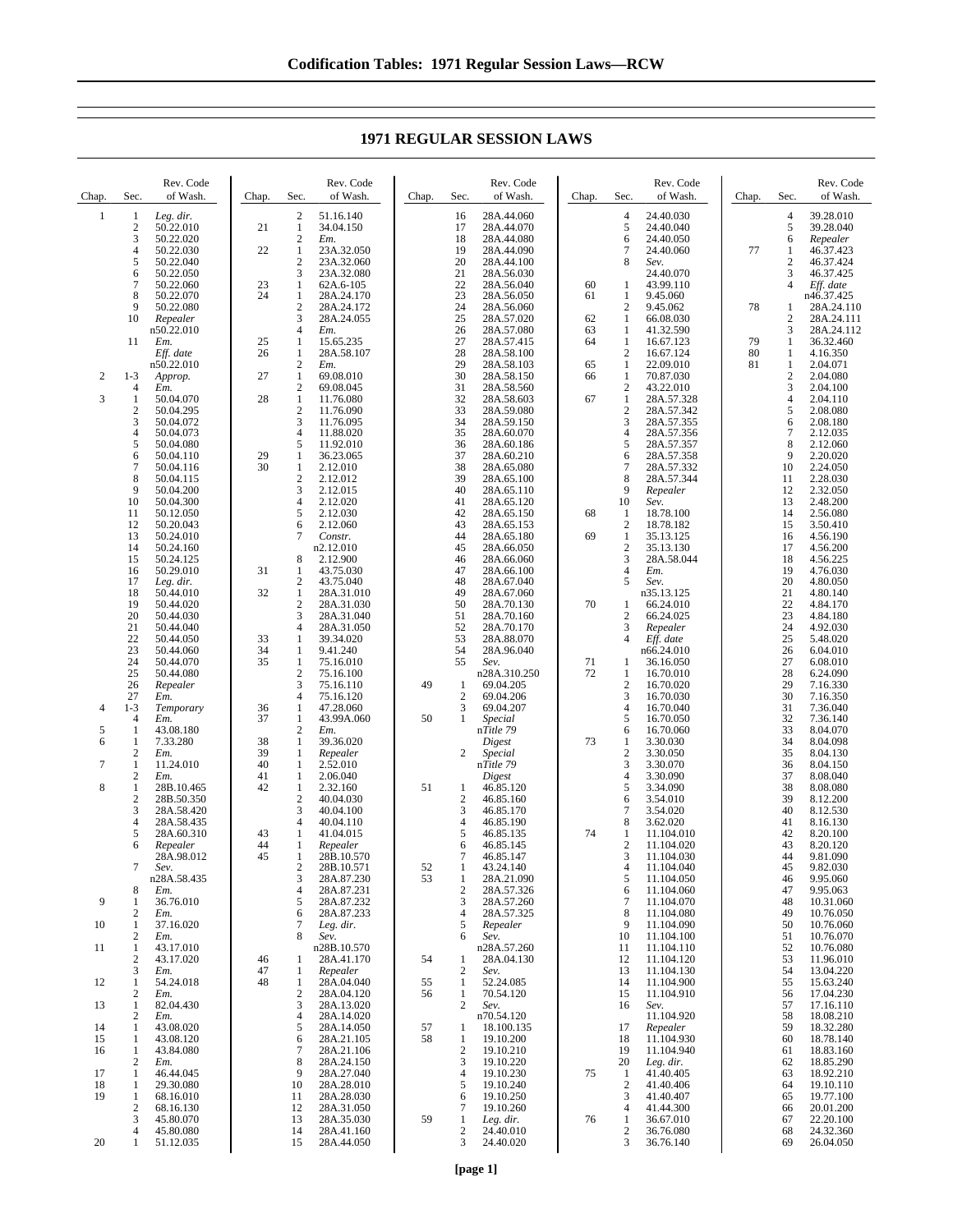| Chap.            | Sec.                  | Rev. Code<br>of Wash.    | Chap.    | Sec.                         | Rev. Code<br>of Wash.    | Chap.    | Sec.                  | Rev. Code<br>of Wash.    | Chap.    | Sec.                           | Rev. Code<br>of Wash.    | Chap. | Sec.            | Rev. Code<br>of Wash.    |
|------------------|-----------------------|--------------------------|----------|------------------------------|--------------------------|----------|-----------------------|--------------------------|----------|--------------------------------|--------------------------|-------|-----------------|--------------------------|
| 1                | $\mathbf{1}$          | Leg. dir.                |          | $\mathbf{2}$                 | 51.16.140                |          | 16                    | 28A.44.060               |          | $\overline{4}$                 | 24.40.030                |       | $\overline{4}$  | 39.28.010                |
|                  | 2                     | 50.22.010                | 21       | 1                            | 34.04.150                |          | 17                    | 28A.44.070               |          | 5                              | 24.40.040                |       | 5               | 39.28.040                |
|                  | 3<br>4                | 50.22.020<br>50.22.030   | 22       | 2<br>$\mathbf{1}$            | Em.<br>23A.32.050        |          | 18<br>19              | 28A.44.080<br>28A.44.090 |          | 6<br>7                         | 24.40.050<br>24.40.060   | 77    | 6<br>1          | Repealer<br>46.37.423    |
|                  | 5                     | 50.22.040                |          | 2                            | 23A.32.060               |          | 20                    | 28A.44.100               |          | 8                              | Sev.                     |       | $\overline{2}$  | 46.37.424                |
|                  | 6                     | 50.22.050                |          | 3                            | 23A.32.080               |          | 21                    | 28A.56.030               |          |                                | 24.40.070                |       | 3               | 46.37.425                |
|                  | 7<br>8                | 50.22.060<br>50.22.070   | 23<br>24 | 1<br>1                       | 62A.6-105                |          | 22<br>23              | 28A.56.040               | 60<br>61 | 1<br>1                         | 43.99.110                |       | 4               | Eff. date                |
|                  | 9                     | 50.22.080                |          | 2                            | 28A.24.170<br>28A.24.172 |          | 24                    | 28A.56.050<br>28A.56.060 |          | 2                              | 9.45.060<br>9.45.062     | 78    | 1               | n46.37.425<br>28A.24.110 |
|                  | 10                    | Repealer                 |          | 3                            | 28A.24.055               |          | 25                    | 28A.57.020               | 62       | 1                              | 66.08.030                |       | $\overline{2}$  | 28A.24.111               |
|                  |                       | n50.22.010<br>Em.        | 25       | $\overline{4}$<br>1          | Em.                      |          | 26<br>27              | 28A.57.080<br>28A.57.415 | 63<br>64 | $\mathbf{1}$<br>1              | 41.32.590<br>16.67.123   | 79    | 3<br>1          | 28A.24.112               |
|                  | 11                    | Eff. date                | 26       | 1                            | 15.65.235<br>28A.58.107  |          | 28                    | 28A.58.100               |          | $\overline{2}$                 | 16.67.124                | 80    | 1               | 36.32.460<br>4.16.350    |
|                  |                       | n50.22.010               |          | 2                            | Em.                      |          | 29                    | 28A.58.103               | 65       | -1                             | 22.09.010                | 81    | 1               | 2.04.071                 |
| $\boldsymbol{2}$ | $1 - 3$<br>4          | Approp.                  | 27       | $\mathbf{1}$<br>2            | 69.08.010<br>69.08.045   |          | 30<br>31              | 28A.58.150<br>28A.58.560 | 66       | $\mathbf{1}$<br>$\overline{c}$ | 70.87.030<br>43.22.010   |       | $\sqrt{2}$<br>3 | 2.04.080<br>2.04.100     |
| 3                | 1                     | Em.<br>50.04.070         | 28       | $\mathbf{1}$                 | 11.76.080                |          | 32                    | 28A.58.603               | 67       | $\mathbf{1}$                   | 28A.57.328               |       | $\overline{4}$  | 2.04.110                 |
|                  | $\mathbf{2}$          | 50.04.295                |          | 2                            | 11.76.090                |          | 33                    | 28A.59.080               |          | $\overline{c}$                 | 28A.57.342               |       | 5               | 2.08.080                 |
|                  | 3<br>4                | 50.04.072<br>50.04.073   |          | 3<br>$\overline{4}$          | 11.76.095<br>11.88.020   |          | 34<br>35              | 28A.59.150<br>28A.60.070 |          | 3<br>4                         | 28A.57.355<br>28A.57.356 |       | 6<br>$\tau$     | 2.08.180                 |
|                  | 5                     | 50.04.080                |          | 5                            | 11.92.010                |          | 36                    | 28A.60.186               |          | 5                              | 28A.57.357               |       | 8               | 2.12.035<br>2.12.060     |
|                  | 6                     | 50.04.110                | 29       | 1                            | 36.23.065                |          | 37                    | 28A.60.210               |          | 6                              | 28A.57.358               |       | 9               | 2.20.020                 |
|                  | 7<br>8                | 50.04.116<br>50.04.115   | 30       | 1<br>2                       | 2.12.010<br>2.12.012     |          | 38<br>39              | 28A.65.080<br>28A.65.100 |          | 7<br>8                         | 28A.57.332<br>28A.57.344 |       | 10<br>11        | 2.24.050<br>2.28.030     |
|                  | 9                     | 50.04.200                |          | 3                            | 2.12.015                 |          | 40                    | 28A.65.110               |          | 9                              | Repealer                 |       | 12              | 2.32.050                 |
|                  | 10                    | 50.04.300                |          | $\overline{4}$               | 2.12.020                 |          | 41                    | 28A.65.120               |          | 10                             | Sev.                     |       | 13              | 2.48.200                 |
|                  | 11<br>12              | 50.12.050<br>50.20.043   |          | 5<br>6                       | 2.12.030<br>2.12.060     |          | 42<br>43              | 28A.65.150<br>28A.65.153 | 68       | $\mathbf{1}$<br>$\overline{c}$ | 18.78.100<br>18.78.182   |       | 14<br>15        | 2.56.080<br>3.50.410     |
|                  | 13                    | 50.24.010                |          | 7                            | Constr.                  |          | 44                    | 28A.65.180               | 69       | 1                              | 35.13.125                |       | 16              | 4.56.190                 |
|                  | 14                    | 50.24.160                |          |                              | n2.12.010                |          | 45                    | 28A.66.050               |          | $\overline{2}$                 | 35.13.130                |       | 17              | 4.56.200                 |
|                  | 15<br>16              | 50.24.125<br>50.29.010   | 31       | 8<br>1                       | 2.12.900<br>43.75.030    |          | 46<br>47              | 28A.66.060<br>28A.66.100 |          | 3<br>4                         | 28A.58.044<br>Em.        |       | 18<br>19        | 4.56.225<br>4.76.030     |
|                  | 17                    | Leg. dir.                |          | 2                            | 43.75.040                |          | 48                    | 28A.67.040               |          | 5                              | Sev.                     |       | 20              | 4.80.050                 |
|                  | 18                    | 50.44.010                | 32       | 1                            | 28A.31.010               |          | 49                    | 28A.67.060               |          |                                | n35.13.125               |       | 21              | 4.80.140                 |
|                  | 19<br>20              | 50.44.020<br>50.44.030   |          | $\overline{\mathbf{c}}$<br>3 | 28A.31.030<br>28A.31.040 |          | 50<br>51              | 28A.70.130<br>28A.70.160 | 70       | -1<br>$\overline{c}$           | 66.24.010<br>66.24.025   |       | $22\,$<br>23    | 4.84.170<br>4.84.180     |
|                  | 21                    | 50.44.040                |          | 4                            | 28A.31.050               |          | 52                    | 28A.70.170               |          | 3                              | Repealer                 |       | 24              | 4.92.030                 |
|                  | 22                    | 50.44.050                | 33       | 1                            | 39.34.020                |          | 53                    | 28A.88.070               |          | 4                              | Eff. date                |       | 25              | 5.48.020                 |
|                  | 23<br>24              | 50.44.060<br>50.44.070   | 34<br>35 | 1<br>1                       | 9.41.240<br>75.16.010    |          | 54<br>55              | 28A.96.040<br>Sev.       | 71       | -1                             | n66.24.010<br>36.16.050  |       | 26<br>27        | 6.04.010<br>6.08.010     |
|                  | 25                    | 50.44.080                |          | 2                            | 75.16.100                |          |                       | n28A.310.250             | 72       | 1                              | 16.70.010                |       | 28              | 6.24.090                 |
|                  | 26                    | Repealer                 |          | 3                            | 75.16.110                | 49       | 1                     | 69.04.205                |          | $\overline{2}$                 | 16.70.020                |       | 29              | 7.16.330                 |
| 4                | 27<br>$1 - 3$         | Em.<br>Temporary         | 36       | 4<br>1                       | 75.16.120<br>47.28.060   |          | $\mathbf{2}$<br>3     | 69.04.206<br>69.04.207   |          | 3<br>$\overline{4}$            | 16.70.030<br>16.70.040   |       | 30<br>31        | 7.16.350<br>7.36.040     |
|                  | $\overline{4}$        | Em.                      | 37       | 1                            | 43.99A.060               | 50       | 1                     | Special                  |          | 5                              | 16.70.050                |       | 32              | 7.36.140                 |
| 5                | 1                     | 43.08.180                |          | 2                            | Em.                      |          |                       | nTitle 79                |          | 6                              | 16.70.060                |       | 33              | 8.04.070                 |
| 6                | 1<br>$\boldsymbol{2}$ | 7.33.280<br>Em.          | 38<br>39 | $\mathbf{1}$<br>1            | 39.36.020<br>Repealer    |          | 2                     | Digest<br>Special        | 73       | 1<br>$\boldsymbol{2}$          | 3.30.030<br>3.30.050     |       | 34<br>35        | 8.04.098<br>8.04.130     |
| 7                | $\mathbf{1}$          | 11.24.010                | 40       | 1                            | 2.52.010                 |          |                       | nTitle 79                |          | 3                              | 3.30.070                 |       | 36              | 8.04.150                 |
|                  | $\boldsymbol{2}$      | Em.                      | 41       | 1                            | 2.06.040                 |          |                       | Digest                   |          | 4                              | 3.30.090                 |       | 37              | 8.08.040                 |
| 8                | 1<br>$\mathbf{2}$     | 28B.10.465<br>28B.50.350 | 42       | 1<br>2                       | 2.32.160<br>40.04.030    | 51       | 1<br>$\mathbf{2}$     | 46.85.120<br>46.85.160   |          | 5<br>6                         | 3.34.090<br>3.54.010     |       | 38<br>39        | 8.08.080<br>8.12.200     |
|                  | 3                     | 28A.58.420               |          | 3                            | 40.04.100                |          | 3                     | 46.85.170                |          | 7                              | 3.54.020                 |       | 40              | 8.12.530                 |
|                  | 4                     | 28A.58.435               |          | 4                            | 40.04.110                |          | 4                     | 46.85.190                |          | 8                              | 3.62.020                 |       | 41              | 8.16.130                 |
|                  | 5<br>6                | 28A.60.310<br>Repealer   | 43<br>44 | 1<br>1                       | 41.04.015<br>Repealer    |          | 5<br>6                | 46.85.135<br>46.85.145   | 74       | -1<br>$\overline{c}$           | 11.104.010<br>11.104.020 |       | 42<br>43        | 8.20.100<br>8.20.120     |
|                  |                       | 28A.98.012               | 45       | 1                            | 28B.10.570               |          | 7                     | 46.85.147                |          | 3                              | 11.104.030               |       | 44              | 9.81.090                 |
|                  |                       | Sev.<br>n28A.58.435      |          | 2<br>3                       | 28B.10.571               | 52<br>53 | -1                    | 43.24.140                |          | 4<br>5                         | 11.104.040               |       | 45              | 9.82.030                 |
|                  | 8                     | Em.                      |          | 4                            | 28A.87.230<br>28A.87.231 |          | $\mathbf{2}$          | 28A.21.090<br>28A.57.326 |          | 6                              | 11.104.050<br>11.104.060 |       | 46<br>47        | 9.95.060<br>9.95.063     |
| 9                | 1                     | 36.76.010                |          | 5                            | 28A.87.232               |          | 3                     | 28A.57.260               |          | $7\phantom{.0}$                | 11.104.070               |       | 48              | 10.31.060                |
|                  | 2                     | Em.                      |          | 6                            | 28A.87.233               |          | 4                     | 28A.57.325               |          | 8                              | 11.104.080               |       | 49              | 10.76.050                |
| 10               | 1<br>2                | 37.16.020<br>Em.         |          | $\overline{7}$<br>8          | Leg. dir.<br>Sev.        |          | 5<br>6                | Repealer<br>Sev.         |          | 9<br>10                        | 11.104.090<br>11.104.100 |       | 50<br>51        | 10.76.060<br>10.76.070   |
| 11               | 1                     | 43.17.010                |          |                              | n28B.10.570              |          |                       | n28A.57.260              |          | 11                             | 11.104.110               |       | 52              | 10.76.080                |
|                  | $\mathbf{2}$          | 43.17.020                | 46       | 1                            | 28A.41.170               | 54       | 1                     | 28A.04.130               |          | 12                             | 11.104.120               |       | 53              | 11.96.010                |
| 12               | 3<br>1                | Em.<br>54.24.018         | 47<br>48 | 1<br>1                       | Repealer<br>28A.04.040   | 55       | 2<br>$\mathbf{1}$     | Sev.<br>52.24.085        |          | 13<br>14                       | 11.104.130<br>11.104.900 |       | 54<br>55        | 13.04.220<br>15.63.240   |
|                  | 2                     | Em.                      |          | 2                            | 28A.04.120               | 56       | 1                     | 70.54.120                |          | 15                             | 11.104.910               |       | 56              | 17.04.230                |
| 13               | 1                     | 82.04.430                |          | 3<br>4                       | 28A.13.020               |          | $\overline{c}$        | Sev.                     |          | 16                             | Sev.<br>11.104.920       |       | 57<br>58        | 17.16.110                |
| 14               | 2<br>1                | Em.<br>43.08.020         |          | 5                            | 28A.14.020<br>28A.14.050 | 57       | 1                     | n70.54.120<br>18.100.135 |          | 17                             | Repealer                 |       | 59              | 18.08.210<br>18.32.280   |
| 15               | 1                     | 43.08.120                |          | 6                            | 28A.21.105               | 58       | 1                     | 19.10.200                |          | 18                             | 11.104.930               |       | 60              | 18.78.140                |
| 16               | 1<br>2                | 43.84.080<br>Em.         |          | 7<br>8                       | 28A.21.106<br>28A.24.150 |          | $\boldsymbol{2}$<br>3 | 19.10.210<br>19.10.220   |          | 19<br>20                       | 11.104.940               |       | 61<br>62        | 18.83.160                |
| 17               | 1                     | 46.44.045                |          | 9                            | 28A.27.040               |          | 4                     | 19.10.230                | 75       | -1                             | Leg. dir.<br>41.40.405   |       | 63              | 18.85.290<br>18.92.210   |
| 18               | 1                     | 29.30.080                |          | 10                           | 28A.28.010               |          | 5                     | 19.10.240                |          | $\overline{c}$                 | 41.40.406                |       | 64              | 19.10.110                |
| 19               | 1<br>2                | 68.16.010<br>68.16.130   |          | 11<br>12                     | 28A.28.030<br>28A.31.050 |          | 6<br>7                | 19.10.250<br>19.10.260   |          | 3<br>4                         | 41.40.407<br>41.44.300   |       | 65<br>66        | 19.77.100<br>20.01.200   |
|                  | 3                     | 45.80.070                |          | 13                           | 28A.35.030               | 59       | $\mathbf{1}$          | Leg. dir.                | 76       | $\mathbf{1}$                   | 36.67.010                |       | 67              | 22.20.100                |
|                  | 4                     | 45.80.080                |          | 14                           | 28A.41.160               |          | $\boldsymbol{2}$      | 24.40.010                |          | $\overline{c}$                 | 36.76.080                |       | 68              | 24.32.360                |
| 20               | 1                     | 51.12.035                |          | 15                           | 28A.44.050               |          | 3                     | 24.40.020                |          | 3                              | 36.76.140                |       | 69              | 26.04.050                |

## **1971 REGULAR SESSION LAWS**